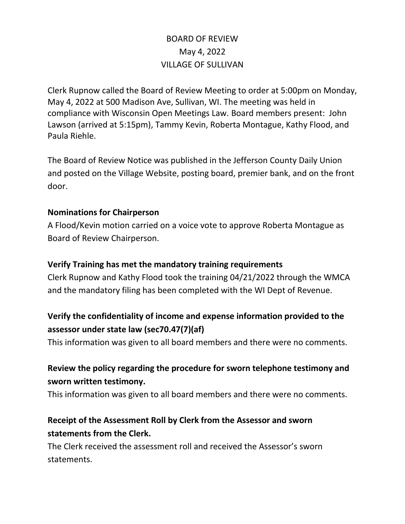# BOARD OF REVIEW May 4, 2022 VILLAGE OF SULLIVAN

Clerk Rupnow called the Board of Review Meeting to order at 5:00pm on Monday, May 4, 2022 at 500 Madison Ave, Sullivan, WI. The meeting was held in compliance with Wisconsin Open Meetings Law. Board members present: John Lawson (arrived at 5:15pm), Tammy Kevin, Roberta Montague, Kathy Flood, and Paula Riehle.

The Board of Review Notice was published in the Jefferson County Daily Union and posted on the Village Website, posting board, premier bank, and on the front door.

#### **Nominations for Chairperson**

A Flood/Kevin motion carried on a voice vote to approve Roberta Montague as Board of Review Chairperson.

#### **Verify Training has met the mandatory training requirements**

Clerk Rupnow and Kathy Flood took the training 04/21/2022 through the WMCA and the mandatory filing has been completed with the WI Dept of Revenue.

# **Verify the confidentiality of income and expense information provided to the assessor under state law (sec70.47(7)(af)**

This information was given to all board members and there were no comments.

# **Review the policy regarding the procedure for sworn telephone testimony and sworn written testimony.**

This information was given to all board members and there were no comments.

# **Receipt of the Assessment Roll by Clerk from the Assessor and sworn statements from the Clerk.**

The Clerk received the assessment roll and received the Assessor's sworn statements.